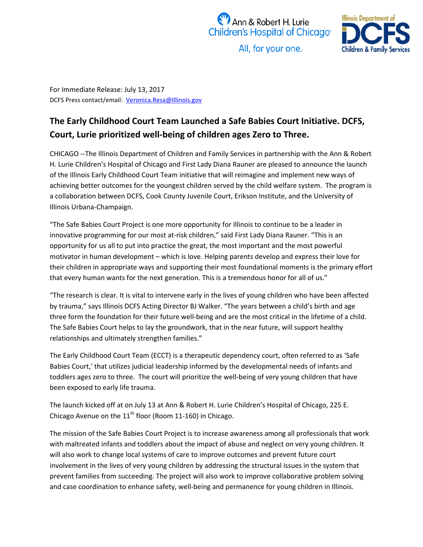



All, for your one.

For Immediate Release: July 13, 2017 DCFS Press contact/email: [Veronica.Resa@Illinois.gov](mailto:Veronica.Resa@Illinois.gov)

## **The Early Childhood Court Team Launched a Safe Babies Court Initiative. DCFS, Court, Lurie prioritized well-being of children ages Zero to Three.**

CHICAGO --The Illinois Department of Children and Family Services in partnership with the Ann & Robert H. Lurie Children's Hospital of Chicago and First Lady Diana Rauner are pleased to announce the launch of the Illinois Early Childhood Court Team initiative that will reimagine and implement new ways of achieving better outcomes for the youngest children served by the child welfare system. The program is a collaboration between DCFS, Cook County Juvenile Court, Erikson Institute, and the University of Illinois Urbana-Champaign.

"The Safe Babies Court Project is one more opportunity for Illinois to continue to be a leader in innovative programming for our most at-risk children," said First Lady Diana Rauner. "This is an opportunity for us all to put into practice the great, the most important and the most powerful motivator in human development – which is love. Helping parents develop and express their love for their children in appropriate ways and supporting their most foundational moments is the primary effort that every human wants for the next generation. This is a tremendous honor for all of us."

"The research is clear. It is vital to intervene early in the lives of young children who have been affected by trauma," says Illinois DCFS Acting Director BJ Walker. "The years between a child's birth and age three form the foundation for their future well-being and are the most critical in the lifetime of a child. The Safe Babies Court helps to lay the groundwork, that in the near future, will support healthy relationships and ultimately strengthen families."

The Early Childhood Court Team (ECCT) is a therapeutic dependency court, often referred to as 'Safe Babies Court,' that utilizes judicial leadership informed by the developmental needs of infants and toddlers ages zero to three. The court will prioritize the well-being of very young children that have been exposed to early life trauma.

The launch kicked off at on July 13 at Ann & Robert H. Lurie Children's Hospital of Chicago, 225 E. Chicago Avenue on the  $11<sup>th</sup>$  floor (Room 11-160) in Chicago.

The mission of the Safe Babies Court Project is to increase awareness among all professionals that work with maltreated infants and toddlers about the impact of abuse and neglect on very young children. It will also work to change local systems of care to improve outcomes and prevent future court involvement in the lives of very young children by addressing the structural issues in the system that prevent families from succeeding. The project will also work to improve collaborative problem solving and case coordination to enhance safety, well-being and permanence for young children in Illinois.